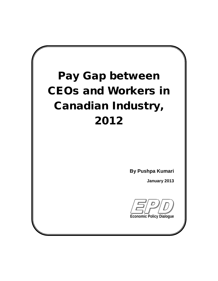# **Pay Gap between CEOs and Workers in Canadian Industry, 2012**

**By Pushpa Kumari**

**January 2013**

**Economic Policy Dialogue**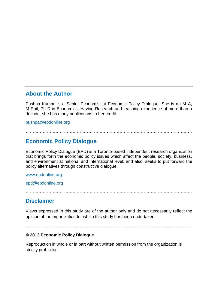### About the Author

Pushpa Kumari is a Senior Economist at Economic Policy Dialogue. She is an M A, M Phil, Ph D in Economics. Having Research and teaching experience of more than a decade, she has many publications to her credit.

[pushpa@epdonline.org](mailto:pushpa@epdonline.org)

### €€€€€€€€€€€€€€€€€€€€€€€€€€€€€€€€€€€€€€€

### Economic Policy Dialogue

Economic Policy Dialogue (EPD) is a Toronto-based independent research organization that brings forth the economic policy issues which affect the people, society, business, and environment at national and international level; and also, seeks to put forward the policy alternatives through constructive dialogue.

#### <www.epdonline.org>

[epd@epdonline.org](mailto:epd@epdonline.org)

#### €€€€€€€€€€€€€€€€€€€€€€€€€€€€€€€€€€€€€€€

### **Disclaimer**

Views expressed in this study are of the author only and do not necessarily reflect the opinion of the organization for which this study has been undertaken.

### €€€€€€€€€€€€€€€€€€€€€€€€€€€€€€€€€€€€€€€

€ 2013 Economic Policy Dialogue

Reproduction in whole or in part without written permission from the organization is strictly prohibited.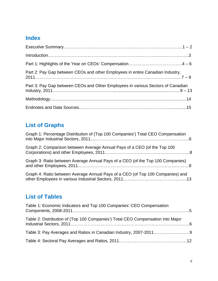# **Index**

| Part 2: Pay Gap between CEOs and other Employees in entire Canadian Industry,   |
|---------------------------------------------------------------------------------|
| Part 3: Pay Gap between CEOs and Other Employees in various Sectors of Canadian |
|                                                                                 |
|                                                                                 |

# **List of Graphs**

| Graph 1: Percentage Distribution of (Top 100 Companies') Total CEO Compensation |  |
|---------------------------------------------------------------------------------|--|
| Graph 2: Comparison between Average Annual Pays of a CEO (of the Top 100        |  |
| Graph 3: Ratio between Average Annual Pays of a CEO (of the Top 100 Companies)  |  |
| Graph 4: Ratio between Average Annual Pays of a CEO (of Top 100 Companies) and  |  |

# **List of Tables**

| Table 1: Economic Indicators and Top 100 Companies' CEO Compensation            |  |
|---------------------------------------------------------------------------------|--|
| Table 2: Distribution of (Top 100 Companies') Total CEO Compensation into Major |  |
|                                                                                 |  |
|                                                                                 |  |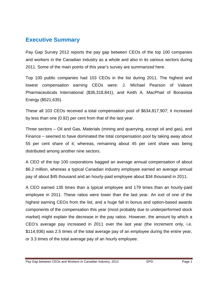### **Executive Summary**

Pay Gap Survey 2012 reports the pay gap between CEOs of the top 100 companies and workers in the Canadian industry as a whole and also in its various sectors during 2011. Some of the main points of this year's survey are summarized here.

Top 100 public companies had 103 CEOs in the list during 2011. The highest and lowest compensation earning CEOs were: J. Michael Pearson of Valeant Pharmaceuticals International (\$36,318,841), and Keith A. MacPhail of Bonavista Energy (\$521,635).

These all 103 CEOs received a total compensation pool of \$634,817,907; it increased by less than one (0.92) per cent from that of the last year.

Three sectors – Oil and Gas, Materials (mining and quarrying, except oil and gas), and Finance – seemed to have dominated the total compensation pool by taking away about 55 per cent share of it; whereas, remaining about 45 per cent share was being distributed among another nine sectors.

A CEO of the top 100 corporations bagged an average annual compensation of about \$6.2 million, whereas a typical Canadian industry employee earned an average annual pay of about \$45 thousand and an hourly-paid employee about \$34 thousand in 2011.

A CEO earned 135 times than a typical employee and 179 times than an hourly-paid employee in 2011. These ratios were lower than the last year. An exit of one of the highest earning CEOs from the list, and a huge fall in bonus and option-based awards components of the compensation this year (most probably due to underperformed stock market) might explain the decrease in the pay ratios. However, the amount by which a CEO's average pay increased in 2011 over the last year (the increment only, i.e. \$114,936) was 2.5 times of the total average pay of an employee during the entire year, or 3.3 times of the total average pay of an hourly employee.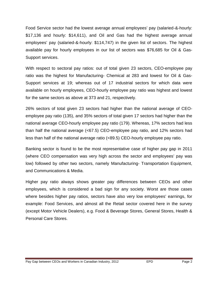Food Service sector had the lowest average annual employees' pay (salaried-&-hourly: \$17,136 and hourly: \$14,611), and Oil and Gas had the highest average annual employees' pay (salaried-&-hourly: \$114,747) in the given list of sectors. The highest available pay for hourly employees in our list of sectors was \$76,685 for Oil & Gas-Support services.

With respect to sectoral pay ratios: out of total given 23 sectors, CEO-employee pay ratio was the highest for Manufacturing- Chemical at 283 and lowest for Oil & Gas-Support services at 19; whereas out of 17 industrial sectors for which data were available on hourly employees, CEO-hourly employee pay ratio was highest and lowest for the same sectors as above at 373 and 21, respectively.

26% sectors of total given 23 sectors had higher than the national average of CEOemployee pay ratio (135), and 35% sectors of total given 17 sectors had higher than the national average CEO-hourly employee pay ratio (179). Whereas, 17% sectors had less than half the national average (<67.5) CEO-employee pay ratio, and 12% sectors had less than half of the national average ratio (<89.5) CEO-hourly employee pay ratio.

Banking sector is found to be the most representative case of higher pay gap in 2011 (where CEO compensation was very high across the sector and employees' pay was low) followed by other two sectors, namely Manufacturing- Transportation Equipment, and Communications & Media.

Higher pay ratio always shows greater pay differences between CEOs and other employees, which is considered a bad sign for any society. Worst are those cases where besides higher pay ratios, sectors have also very low employees' earnings, for example: Food Services, and almost all the Retail sector covered here in the survey (except Motor Vehicle Dealers), e.g. Food & Beverage Stores, General Stores, Health & Personal Care Stores.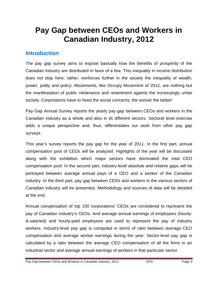# **Pay Gap between CEOs and Workers in Canadian Industry, 2012**

### **Introduction**

The pay gap survey aims to expose basically how the benefits of prosperity of the Canadian industry are distributed in favor of a few. This inequality in income distribution does not stop here; rather, reinforces further in the society the inequality of wealth, power, polity and policy. Movements, like Occupy Movement of 2012, are nothing but the manifestation of public intolerance and resentment against the increasingly unfair society. Corporations have to heed the social concerns; the sooner the better!

Pay Gap Annual Survey reports the yearly pay gap between CEOs and workers in the Canadian industry as a whole and also in its different sectors. Sectoral level exercise adds a unique perspective and, thus, differentiates our work from other pay gap surveys.

This year's survey reports the pay gap for the year of 2011. In the first part, annual compensation pool of CEOs will be analyzed. Highlights of the year will be discussed along with the exhibition which major sectors have dominated the total CEO compensation pool. In the second part, industry-level absolute and relative gaps will be portrayed between average annual pays of a CEO and a worker of the Canadian industry. In the third part, pay gap between CEOs and workers in the various sectors of Canadian industry will be presented. Methodology and sources of data will be detailed at the end.

Annual compensation of top 100 corporations' CEOs are considered to represent the pay of Canadian Industry's CEOs. And average annual earnings of employees (hourly- &-salaried) and hourly-paid employees are used to represent the pay of industry workers. Industry-level pay gap is computed in terms of ratio between average CEO compensation and average worker earnings during the year. Sector-level pay gap is calculated by a ratio between the average CEO compensation of all the firms in an industrial sector and average annual earnings of workers in that particular sector.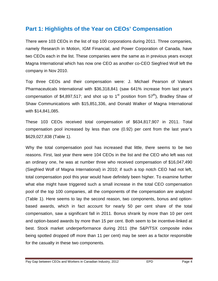# **Part 1: Highlights of the Year on CEOs' Compensation**

There were 103 CEOs in the list of top 100 corporations during 2011. Three companies, namely Research in Motion, IGM Financial, and Power Corporation of Canada, have two CEOs each in the list. These companies were the same as in previous years except Magna International which has now one CEO as another co-CEO Siegfried Wolf left the company in Nov 2010.

Top three CEOs and their compensation were: J. Michael Pearson of Valeant Pharmaceuticals International with \$36,318,841 (saw 641% increase from last year's compensation of \$4,897,517; and shot up to 1<sup>st</sup> position from 57<sup>th</sup>), Bradley Shaw of Shaw Communications with \$15,851,336, and Donald Walker of Magna International with \$14,841,085.

These 103 CEOs received total compensation of \$634,817,907 in 2011. Total compensation pool increased by less than one (0.92) per cent from the last year's \$629,027,838 (Table 1).

Why the total compensation pool has increased that little, there seems to be two reasons. First, last year there were 104 CEOs in the list and the CEO who left was not an ordinary one, he was at number three who received compensation of \$16,047,490 (Siegfried Wolf of Magna International) in 2010; if such a top notch CEO had not left, total compensation pool this year would have definitely been higher. To examine further what else might have triggered such a small increase in the total CEO compensation pool of the top 100 companies, all the components of the compensation are analyzed (Table 1). Here seems to lay the second reason, two components, bonus and optionbased awards, which in fact account for nearly 50 per cent share of the total compensation, saw a significant fall in 2011. Bonus shrank by more than 10 per cent and option-based awards by more than 15 per cent. Both seem to be incentive-linked at best. Stock market underperformance during 2011 (the S&P/TSX composite index being spotted dropped off more than 11 per cent) may be seen as a factor responsible for the casualty in these two components.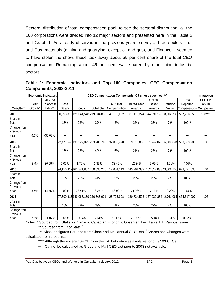Sectoral distribution of total compensation pool: to see the sectoral distribution, all the 100 corporations were divided into 12 major sectors and presented here in the Table 2 and Graph 1. As already observed in the previous years' surveys, three sectors – oil and Gas, materials (mining and quarrying, except oil and gas), and Finance – seemed to have stolen the show; these took away about 55 per cent share of the total CEO compensation. Remaining about 45 per cent was shared by other nine industrial sectors.

**Table 1: Economic Indicators and Top 100 Companies' CEO Compensation Components, 2008-2011**

|                                 |                       | <b>Economic Indicators</b>      | CEO Compensation Components (C\$ unless specified)*** |              |                                    |              |                                    |                        |          |                                                  | Number of                        |  |
|---------------------------------|-----------------------|---------------------------------|-------------------------------------------------------|--------------|------------------------------------|--------------|------------------------------------|------------------------|----------|--------------------------------------------------|----------------------------------|--|
| Year/Item                       | <b>GDP</b><br>Growth* | S&P/TSX<br>Composite<br>Index** | Base                                                  |              |                                    | All Other    | Share-Based                        | Option-<br>Based       | Pension  | Total<br>Reported                                | <b>CEOs in</b><br><b>Top 100</b> |  |
|                                 |                       |                                 | Salary                                                | <b>Bonus</b> | Sub-Total                          | Compensation | Awards                             | Awards                 | Value    | Compensation                                     | <b>Companies</b>                 |  |
| 2008                            |                       |                                 |                                                       |              | 90,593,310 129,041,548 219,634,858 | 48,115,632   | 137,118,274 144,391,128 38,502,733 |                        |          | 587,763,653                                      | $103***$                         |  |
| Share in<br>Total               |                       |                                 | 15%                                                   | 22%          | 37%                                | 8%           | 23%                                | 25%                    | 7%       | 100%                                             |                                  |  |
| Change from<br>Previous<br>Year | 0.6%                  | $-35.03%$                       |                                                       |              |                                    |              |                                    |                        |          |                                                  |                                  |  |
| 2009                            |                       |                                 |                                                       |              | 92,471,645131,229,095 223,700,740  | 32,035,490   |                                    |                        |          | 119,515,006   151,747,070 36,882,894 563,863,200 | 103                              |  |
| Share in<br>Total               |                       |                                 | 16%                                                   | 23%          | 40%                                | 6%           | 21%                                | 27%                    | 7%       | 100%                                             |                                  |  |
| Change from<br>Previous         |                       |                                 |                                                       |              |                                    |              |                                    |                        |          |                                                  |                                  |  |
| Year                            | $-3.0%$               | 30.69%                          | 2.07%                                                 | 1.70%        | 1.85%                              | $-33.42%$    | $-12.84%$                          | 5.09%                  | $-4.21%$ | $-4.07%$                                         |                                  |  |
| 2010                            |                       |                                 |                                                       |              | 94,156,419165,881,807 260,038,226  | 17,004,513   | 145,761,333 162,617,038 43,606,750 |                        |          | 629,027,838                                      | 104                              |  |
| Share in<br>Total               |                       |                                 | 15%                                                   | 26%          | 41%                                | 3%           | 23%                                | 26%                    | 7%       | 100%                                             |                                  |  |
| Change from<br>Previous<br>Year | 3.4%                  | 14.45%                          | 1.82%                                                 | 26.41%       | 16.24%                             | $-46.92%$    | 21.96%                             | 7.16%                  | 18.23%   | 11.56%                                           |                                  |  |
| 2011                            |                       |                                 |                                                       |              | 97,599,815 149,066,159 246,665,971 | 26,725,998   | 180,734,523                        | 137,930,354 42,761,061 |          | 634,817,907                                      | 103                              |  |
| Share in<br>Total               |                       |                                 | 15%                                                   | 23%          | 39%                                | 4%           | 28%                                | 22%                    | 7%       | 100%                                             |                                  |  |
| Change from<br>Previous<br>Year | 2.6%                  | $-11.07%$                       | 3.66%                                                 | $-10.14%$    | $-5.14%$                           | 57.17%       | 23.99%                             | $-15.18%$              | $-1.94%$ | 0.92%                                            |                                  |  |

Notes: \* Sourced from Statistics Canada, Canadian Economic Observer. Text Table 1.1. Various Issues.<sup>1</sup> \*\* Sourced from EconStats.<sup>ii</sup>

\*\*\* Absolute figures Sourced from Globe and Mail annual CEO lists.<sup>iii</sup> Shares and Changes were calculated from those lists.

\*\*\*\* Although there were 104 CEOs in the list, but data was available for only 103 CEOs.

– Cannot be calculated as Globe and Mail CEO List prior to 2008 not available.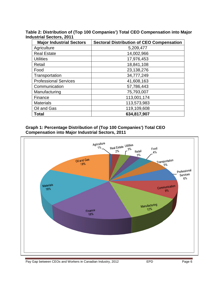**Table 2: Distribution of (Top 100 Companies') Total CEO Compensation into Major**

| <b>Major Industrial Sectors</b> | <b>Sectoral Distribution of CEO Compensation</b> |
|---------------------------------|--------------------------------------------------|
| Agriculture                     | 5,209,477                                        |
| <b>Real Estate</b>              | 14,002,966                                       |
| <b>Utilities</b>                | 17,976,453                                       |
| Retail                          | 18,841,108                                       |
| Food                            | 23,138,276                                       |
| Transportation                  | 34,777,249                                       |
| <b>Professional Services</b>    | 41,608,163                                       |
| Communication                   | 57,786,443                                       |
| Manufacturing                   | 75,793,007                                       |
| Finance                         | 113,001,174                                      |
| <b>Materials</b>                | 113,573,983                                      |
| Oil and Gas                     | 119,109,608                                      |
| Total                           | 634,817,907                                      |

### **Graph 1: Percentage Distribution of (Top 100 Companies') Total CEO Compensation into Major Industrial Sectors, 2011**

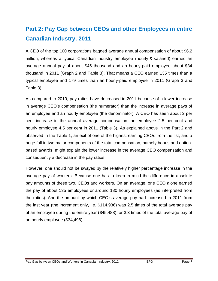# **Part 2: Pay Gap between CEOs and other Employees in entire Canadian Industry, 2011**

A CEO of the top 100 corporations bagged average annual compensation of about \$6.2 million, whereas a typical Canadian industry employee (hourly-&-salaried) earned an average annual pay of about \$45 thousand and an hourly-paid employee about \$34 thousand in 2011 (Graph 2 and Table 3). That means a CEO earned 135 times than a typical employee and 179 times than an hourly-paid employee in 2011 (Graph 3 and Table 3).

As compared to 2010, pay ratios have decreased in 2011 because of a lower increase in average CEO's compensation (the numerator) than the increase in average pays of an employee and an hourly employee (the denominator). A CEO has seen about 2 per cent increase in the annual average compensation, an employee 2.5 per cent and hourly employee 4.5 per cent in 2011 (Table 3). As explained above in the Part 2 and observed in the Table 1, an exit of one of the highest earning CEOs from the list, and a huge fall in two major components of the total compensation, namely bonus and optionbased awards, might explain the lower increase in the average CEO compensation and consequently a decrease in the pay ratios.

However, one should not be swayed by the relatively higher percentage increase in the average pay of workers. Because one has to keep in mind the difference in absolute pay amounts of these two, CEOs and workers. On an average, one CEO alone earned the pay of about 135 employees or around 180 hourly employees (as interpreted from the ratios). And the amount by which CEO's average pay had increased in 2011 from the last year (the increment only, i.e. \$114,936) was 2.5 times of the total average pay of an employee during the entire year (\$45,488), or 3.3 times of the total average pay of an hourly employee (\$34,496).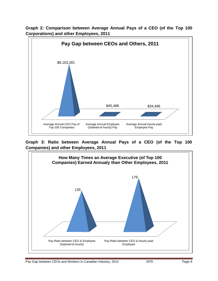

**Graph 2: Comparison between Average Annual Pays of a CEO (of the Top 100 Corporations) and other Employees, 2011**

**Graph 3: Ratio between Average Annual Pays of a CEO (of the Top 100 Companies) and other Employees, 2011**

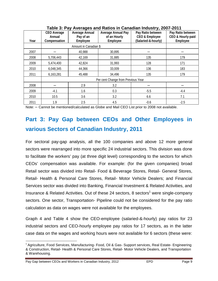| .<br><sub>.</sub> , _ |                                                     |                                                       |                                                              |                                                                       |                                                    |  |  |  |  |
|-----------------------|-----------------------------------------------------|-------------------------------------------------------|--------------------------------------------------------------|-----------------------------------------------------------------------|----------------------------------------------------|--|--|--|--|
| Year                  | <b>CEO Average</b><br><b>Annual</b><br>Compensation | <b>Average Annual</b><br>Pay of an<br><b>Employee</b> | <b>Average Annual Pay</b><br>of an Hourly<br><b>Employee</b> | Pay Ratio between<br><b>CEO &amp; Employee</b><br>(Salaried-&-hourly) | Pay Ratio between<br>CEO & Hourly-paid<br>Employee |  |  |  |  |
|                       |                                                     |                                                       |                                                              |                                                                       |                                                    |  |  |  |  |
|                       |                                                     | Amount in Canadian \$                                 |                                                              |                                                                       |                                                    |  |  |  |  |
| 2007                  |                                                     | 40,988                                                | 30,895                                                       |                                                                       |                                                    |  |  |  |  |
| 2008                  | 5,706,443                                           | 42,169                                                | 31,885                                                       | 135                                                                   | 179                                                |  |  |  |  |
| 2009                  | 5,474,400                                           | 42,824                                                | 31,993                                                       | 128                                                                   | 171                                                |  |  |  |  |
| 2010                  | 6,048,345                                           | 44,366                                                | 33,009                                                       | 136                                                                   | 183                                                |  |  |  |  |
| 2011                  | 6,163,281                                           | 45,488                                                | 34,496                                                       | 135                                                                   | 179                                                |  |  |  |  |
|                       |                                                     |                                                       | Per cent Change from Previous Year                           |                                                                       |                                                    |  |  |  |  |
| 2008                  |                                                     | 29                                                    | 3.2                                                          |                                                                       |                                                    |  |  |  |  |
| 2009                  | $-4.1$                                              | 1.6                                                   | 0.3                                                          | $-5.5$                                                                | $-4.4$                                             |  |  |  |  |
| 2010                  | 10.5                                                | 3.6                                                   | 3.2                                                          | 6.6                                                                   | 7.1                                                |  |  |  |  |
| 2011                  | 1.9                                                 | 2.5                                                   | 4.5                                                          | $-0.6$                                                                | $-2.5$                                             |  |  |  |  |

**Table 3: Pay Averages and Ratios in Canadian Industry, 2007-2011**

Note: – Cannot be mentioned/calculated as Globe and Mail CEO List prior to 2008 not available.

# **Part 3: Pay Gap between CEOs and Other Employees in various Sectors of Canadian Industry, 2011**

For sectoral pay-gap analysis, all the 100 companies and above 12 more general sectors were rearranged into more specific 24 industrial sectors. This division was done to facilitate the workers' pay (at three digit level) corresponding to the sectors for which CEOs' compensation was available. For example: (for the given companies) broad Retail sector was divided into Retail- Food & Beverage Stores, Retail- General Stores, Retail- Health & Personal Care Stores, Retail- Motor Vehicle Dealers; and Financial Services sector was divided into Banking, Financial Investment & Related Activities, and Insurance & Related Activities. Out of these 24 sectors, 8 sectors<sup>1</sup> were single-company sectors. One sector, Transportation- Pipeline could not be considered for the pay ratio calculation as data on wages were not available for the employees.

Graph 4 and Table 4 show the CEO-employee (salaried-&-hourly) pay ratios for 23 industrial sectors and CEO-hourly employee pay ratios for 17 sectors, as in the latter case data on the wages and working hours were not available for 6 sectors (these were:

Pay Gap between CEOs and Workers in Canadian Industry, 2012 **EPD** EPD Page 9

<sup>&</sup>lt;sup>1</sup> Agriculture, Food Services, Manufacturing- Food, Oil & Gas- Support services, Real Estate- Engineering & Construction, Retail- Health & Personal Care Stores, Retail- Motor Vehicle Dealers, and Transportation & Warehousing.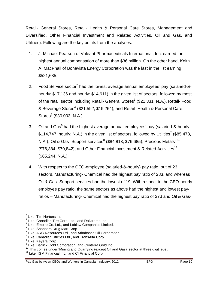Retail- General Stores, Retail- Health & Personal Care Stores, Management and Diversified, Other Financial Investment and Related Activities, Oil and Gas, and Utilities). Following are the key points from the analyses:

- 1. J. Michael Pearson of Valeant Pharmaceuticals International, Inc. earned the highest annual compensation of more than \$36 million. On the other hand, Keith A. MacPhail of Bonavista Energy Corporation was the last in the list earning \$521,635.
- 2. Food Service sector<sup>2</sup> had the lowest average annual employees' pay (salaried-&hourly: \$17,136 and hourly: \$14,611) in the given list of sectors, followed by most of the retail sector including Retail- General Stores<sup>3</sup> (\$21,331, N.A.), Retail- Food & Beverage Stores<sup>4</sup> (\$21,592, \$19,264), and Retail- Health & Personal Care Stores $<sup>5</sup>$  (\$30,003, N.A.).</sup>
- 3. Oil and Gas<sup>6</sup> had the highest average annual employees' pay (salaried-&-hourly:  $$114,747$ , hourly: N.A.) in the given list of sectors, followed by Utilities<sup>7</sup> (\$85,473, N.A.), Oil & Gas- Support services<sup>8</sup> (\$84,813, \$76,685), Precious Metals<sup>9,10</sup> (\$76,384, \$70,842), and Other Financial Investment & Related Activities<sup>11</sup> (\$65,244, N.A.).
- 4. With respect to the CEO-employee (salaried-&-hourly) pay ratio, out of 23 sectors, Manufacturing- Chemical had the highest pay ratio of 283, and whereas Oil & Gas- Support services had the lowest of 19. With respect to the CEO-hourly employee pay ratio, the same sectors as above had the highest and lowest payratios – Manufacturing- Chemical had the highest pay ratio of 373 and Oil & Gas-

 $2$  Like, Tim Hortons Inc.

 $3$  Like, Canadian Tire Corp. Ltd., and Dollarama Inc.

<sup>&</sup>lt;sup>4</sup> Like, Empire Co. Ltd., and Loblaw Companies Limited.<br><sup>5</sup> Like, Shoppers Drug Mart Corp.

 $<sup>6</sup>$  Like, ARC Resources Ltd., and Athabasca Oil Corporation.</sup>

 $\frac{7}{1}$  Like, Canadian Utilities Ltd., and TransAlta Corp.

<sup>&</sup>lt;sup>8</sup> Like, Keyera Corp.

<sup>&</sup>lt;sup>9</sup> Like, Barrick Gold Corporation, and Centerra Gold Inc.

<sup>10</sup> This comes under 'Mining and Quarrying (except Oil and Gas)' sector at three digit level.

<sup>&</sup>lt;sup>11</sup> Like, IGM Financial Inc., and CI Financial Corp.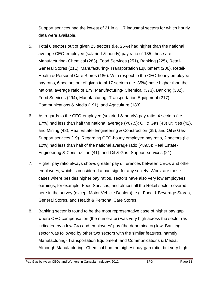Support services had the lowest of 21 in all 17 industrial sectors for which hourly data were available.

- 5. Total 6 sectors out of given 23 sectors (i.e. 26%) had higher than the national average CEO-employee (salaried-&-hourly) pay ratio of 135, these are: Manufacturing- Chemical (283), Food Services (251), Banking (225), Retail-General Stores (211), Manufacturing- Transportation Equipment (206), Retail-Health & Personal Care Stores (186). With respect to the CEO-hourly employee pay ratio, 6 sectors out of given total 17 sectors (i.e. 35%) have higher than the national average ratio of 179: Manufacturing- Chemical (373), Banking (332), Food Services (294), Manufacturing- Transportation Equipment (217), Communications & Media (191), and Agriculture (183).
- 6. As regards to the CEO-employee (salaried-&-hourly) pay ratio, 4 sectors (i.e. 17%) had less than half the national average (<67.5): Oil & Gas (43) Utilities (42), and Mining (48), Real Estate- Engineering & Construction (39), and Oil & Gas-Support services (19). Regarding CEO-hourly employee pay ratio, 2 sectors (i.e. 12%) had less than half of the national average ratio (<89.5): Real Estate-Engineering & Construction (41), and Oil & Gas- Support services (21).
- 7. Higher pay ratio always shows greater pay differences between CEOs and other employees, which is considered a bad sign for any society. Worst are those cases where besides higher pay ratios, sectors have also very low employees' earnings, for example: Food Services, and almost all the Retail sector covered here in the survey (except Motor Vehicle Dealers), e.g. Food & Beverage Stores, General Stores, and Health & Personal Care Stores.
- 8. Banking sector is found to be the most representative case of higher pay gap where CEO compensation (the numerator) was very high across the sector (as indicated by a low CV) and employees' pay (the denominator) low. Banking sector was followed by other two sectors with the similar features, namely Manufacturing- Transportation Equipment, and Communications & Media. Although Manufacturing- Chemical had the highest pay-gap ratio, but very high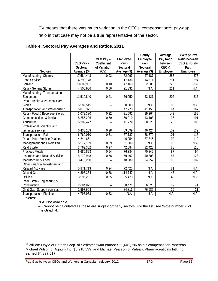CV means that there was much variation in the CEOs' compensation<sup>12</sup>; pay-gap ratio in that case may not be a true representative of the sector.

|                                         |                 |                   |                 | <b>Hourly</b>   | Average          | <b>Average Pay</b>      |
|-----------------------------------------|-----------------|-------------------|-----------------|-----------------|------------------|-------------------------|
|                                         |                 | CEO Pay-          | Employee        | <b>Employee</b> | Pay Ratio        | Ratio between           |
|                                         | CEO Pay -       | Coefficient       | Pay-            | Pay-            | between          | <b>CEO &amp; Hourly</b> |
|                                         | <b>Sectoral</b> | of Variation      | <b>Sectoral</b> | <b>Sectoral</b> | CEO&             | Paid                    |
| <b>Sectors</b>                          | Average (\$)    | (CV)              | Average (\$)    | Average (\$)    | <b>Employee</b>  | <b>Employee</b>         |
| Manufacturing-Chemical                  | 17,584,443      | 0.92              | 62,093          | 47,187          | 283              | 373                     |
| <b>Food Services</b>                    | 4,298,178       |                   | 17,136          | 14,611          | 251              | 294                     |
| Banking                                 | 10,609,931      | 0.10              | 47,160          | 32,006          | 225              | 332                     |
| Retail- General Stores                  | 4,506,966       | 0.66              | 21,331          | N.A.            | $\overline{211}$ | <b>N.A.</b>             |
| Manufacturing-Transportation            |                 |                   |                 |                 |                  |                         |
| Equipment                               | 11,519,840      | 0.41              | 56,050          | 53,121          | 206              | 217                     |
| Retail-Health & Personal Care           |                 |                   |                 |                 |                  |                         |
| <b>Stores</b>                           | 5,582,515       |                   | 30,003          | N.A.            | 186              | N.A.                    |
| <b>Transportation and Warehousing</b>   | 6,875,371       |                   | 47,778          | 41,150          | 144              | 167                     |
| Retail- Food & Beverage Stores          | 3,072,380       | $\overline{0.22}$ | 21,592          | 19,264          | 142              | 159                     |
| <b>Communications &amp; Media</b>       | 8,255,206       | 0.50              | 60,910          | 43,108          | $\overline{136}$ | 191                     |
| Agriculture                             | 5,209,477       |                   | 41,774          | 28,520          | 125              | 183                     |
| Professional, scientific and            |                 |                   |                 |                 |                  |                         |
| technical services                      | 6,433,163       | 0.28              | 63,099          | 46,424          | 102              | 139                     |
| <b>Transportation-Rail</b>              | 6,760,010       | 0.31              | 67,187          | 58,570          | 101              | 115                     |
| Retail- Motor Vehicle Dealers           | 4,244,661       |                   | 46,254          | 37,846          | 92               | 112                     |
| Management and Diversified              | 5,577,169       | 0.29              | 61,809          | NA              | 90               | N.A.                    |
| <b>Real Estate</b>                      | 3,769,382       | 0.27              | 42,684          | 32,425          | 88               | 116                     |
| <b>Precious Metals</b>                  | 6,680,823       | 0.54              | 76,384          | 70,842          | 87               | 94                      |
| <b>Insurance and Related Activities</b> | 5,170,948       | 0.58              | 59,497          | 40,308          | 87               | 128                     |
| Manufacturing-Food                      | 3,478,200       |                   | 40,589          | 34,257          | 86               | 102                     |
| Other Financial Investment and          |                 |                   |                 |                 |                  |                         |
| <b>Related Activities</b>               | 5,871,713       | 0.94              | 72,425          | N.A.            | 81               | N.A.                    |
| <b>Oil and Gas</b>                      | 4,896,334       | 0.58              | 114,747         | N.A.            | 43               | <b>N.A.</b>             |
| <b>Utilities</b>                        | 3,595,291       | 0.55              | 85,473          | N.A.            | 42               | <b>N.A.</b>             |
| Real Estate-Engineering &               |                 |                   |                 |                 |                  |                         |
| Construction                            | 2,694,821       |                   | 68,471          | 66,026          | 39               | 41                      |
| Oil & Gas-Support services              | 1,597,604       |                   | 84,813          | 76,685          | 19               | 21                      |
| <b>Transportation-Pipeline</b>          | 4,793,953       | 0.53              | <b>N.A.</b>     | N.A.            | $N\overline{A}$  | <b>N.A.</b>             |

Notes:

N.A. Not Available

– Cannot be calculated as these are single-company sectors. For the list, see 'Note number 2' of the Graph 4.

<sup>&</sup>lt;sup>12</sup> William Doyle of Potash Corp. of Saskatchewan earned \$11,601,796 as his compensation, whereas Michael Wilson of Agrium Inc. \$8,918,539, and Michael Pearson of Valeant Pharmaceuticals Intl. Inc. earned \$4,897,517.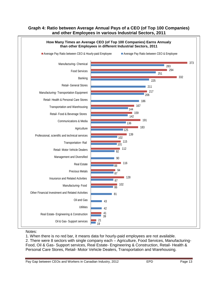#### **Graph 4: Ratio between Average Annual Pays of a CEO (of Top 100 Companies) and other Employees in various Industrial Sectors, 2011**



#### Notes:

1. When there is no red bar, it means data for hourly-paid employees are not available. 2. There were 8 sectors with single company each – Agriculture, Food Services, Manufacturing-Food, Oil & Gas- Support services, Real Estate- Engineering & Construction, Retail- Health & Personal Care Stores, Retail- Motor Vehicle Dealers, Transportation and Warehousing.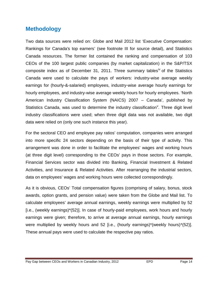# **Methodology**

Two data sources were relied on: Globe and Mail 2012 list 'Executive Compensation: Rankings for Canada's top earners' (see footnote III for source detail), and Statistics Canada resources. The former list contained the ranking and compensation of 103 CEOs of the 100 largest public companies (by market capitalization) in the S&P/TSX composite index as of December 31, 2011. Three summary tables<sup>iv</sup> of the Statistics Canada were used to calculate the pays of workers: industry-wise average weekly earnings for (hourly-&-salaried) employees, industry-wise average hourly earnings for hourly employees, and industry-wise average weekly hours for hourly employees. 'North American Industry Classification System (NAICS) 2007 – Canada', published by Statistics Canada, was used to determine the industry classification<sup>v</sup>. Three digit level industry classifications were used; when three digit data was not available, two digit data were relied on (only one such instance this year).

For the sectoral CEO and employee pay ratios' computation, companies were arranged into more specific 24 sectors depending on the basis of their type of activity. This arrangement was done in order to facilitate the employees' wages and working hours (at three digit level) corresponding to the CEOs' pays in those sectors. For example, Financial Services sector was divided into Banking, Financial Investment & Related Activities, and Insurance & Related Activities. After rearranging the industrial sectors, data on employees' wages and working hours were collected correspondingly.

As it is obvious, CEOs' Total compensation figures (comprising of salary, bonus, stock awards, option grants, and pension value) were taken from the Globe and Mail list. To calculate employees' average annual earnings, weekly earnings were multiplied by 52 [i.e., (weekly earnings)\*(52)]. In case of hourly-paid employees, work hours and hourly earnings were given; therefore, to arrive at average annual earnings, hourly earnings were multiplied by weekly hours and 52 [i.e., (hourly earnings)\*(weekly hours)\*(52)]. These annual pays were used to calculate the respective pay ratios.